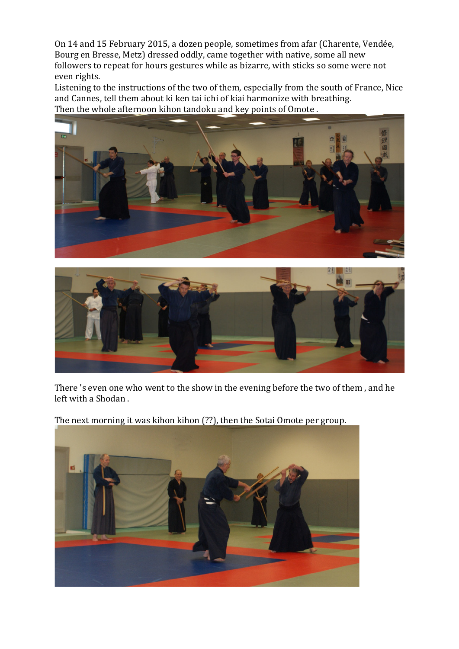On 14 and 15 February 2015, a dozen people, sometimes from afar (Charente, Vendée, Bourg en Bresse, Metz) dressed oddly, came together with native, some all new followers to repeat for hours gestures while as bizarre, with sticks so some were not even rights.

Listening to the instructions of the two of them, especially from the south of France, Nice and Cannes, tell them about ki ken tai ichi of kiai harmonize with breathing. Then the whole afternoon kihon tandoku and key points of Omote .





There 's even one who went to the show in the evening before the two of them , and he left with a Shodan .

The next morning it was kihon kihon (??), then the Sotai Omote per group.